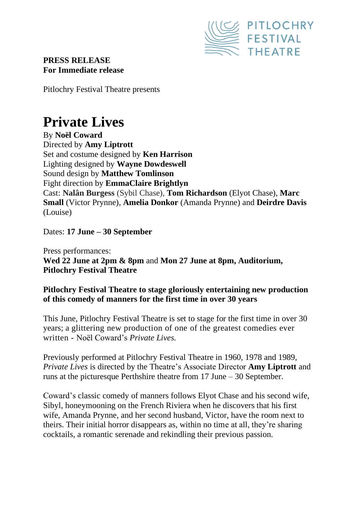

# **PRESS RELEASE For Immediate release**

Pitlochry Festival Theatre presents

# **Private Lives**

By **Noël Coward** Directed by **Amy Liptrott** Set and costume designed by **Ken Harrison** Lighting designed by **Wayne Dowdeswell** Sound design by **Matthew Tomlinson** Fight direction by **EmmaClaire Brightlyn** Cast: **Nalân Burgess** (Sybil Chase), **Tom Richardson** (Elyot Chase), **Marc Small** (Victor Prynne), **Amelia Donkor** (Amanda Prynne) and **Deirdre Davis** (Louise)

Dates: **17 June – 30 September**

Press performances: **Wed 22 June at 2pm & 8pm** and **Mon 27 June at 8pm, Auditorium, Pitlochry Festival Theatre**

## **Pitlochry Festival Theatre to stage gloriously entertaining new production of this comedy of manners for the first time in over 30 years**

This June, Pitlochry Festival Theatre is set to stage for the first time in over 30 years; a glittering new production of one of the greatest comedies ever written - Noël Coward's *Private Lives.*

Previously performed at Pitlochry Festival Theatre in 1960, 1978 and 1989, *Private Lives* is directed by the Theatre's Associate Director **Amy Liptrott** and runs at the picturesque Perthshire theatre from 17 June – 30 September.

Coward's classic comedy of manners follows Elyot Chase and his second wife, Sibyl, honeymooning on the French Riviera when he discovers that his first wife, Amanda Prynne, and her second husband, Victor, have the room next to theirs. Their initial horror disappears as, within no time at all, they're sharing cocktails, a romantic serenade and rekindling their previous passion.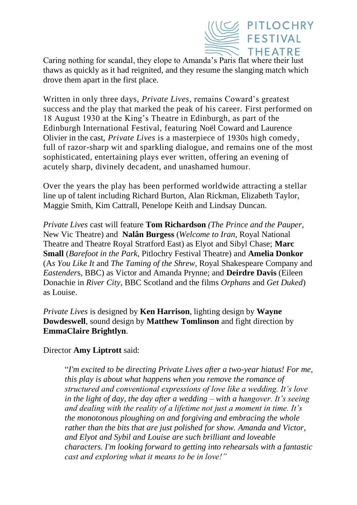

Caring nothing for scandal, they elope to Amanda's Paris flat where their lust thaws as quickly as it had reignited, and they resume the slanging match which drove them apart in the first place.

Written in only three days, *Private Lives*, remains Coward's greatest success and the play that marked the peak of his career. First performed on 18 August 1930 at the King's Theatre in Edinburgh, as part of the Edinburgh International Festival, featuring Noël Coward and Laurence Olivier in the cast, *Private Lives* is a masterpiece of 1930s high comedy, full of razor-sharp wit and sparkling dialogue, and remains one of the most sophisticated, entertaining plays ever written, offering an evening of acutely sharp, divinely decadent, and unashamed humour.

Over the years the play has been performed worldwide attracting a stellar line up of talent including Richard Burton, Alan Rickman, Elizabeth Taylor, Maggie Smith, Kim Cattrall, Penelope Keith and Lindsay Duncan.

*Private Lives* cast will feature **Tom Richardson** *(The Prince and the Pauper*, New Vic Theatre) and **Nalân Burgess** (*Welcome to Iran*, Royal National Theatre and Theatre Royal Stratford East) as Elyot and Sibyl Chase; **Marc Small** (*Barefoot in the Park*, Pitlochry Festival Theatre) and **Amelia Donkor** (A*s You Like It* and *The Taming of the Shrew*, Royal Shakespeare Company and *Eastender*s, BBC) as Victor and Amanda Prynne; and **Deirdre Davis** (Eileen Donachie in *River City*, BBC Scotland and the films *Orphans* and *Get Duked*) as Louise.

*Private Lives* is designed by **Ken Harrison**, lighting design by **Wayne Dowdeswell**, sound design by **Matthew Tomlinson** and fight direction by **EmmaClaire Brightlyn**.

#### Director **Amy Liptrott** said:

"*I'm excited to be directing Private Lives after a two-year hiatus! For me, this play is about what happens when you remove the romance of structured and conventional expressions of love like a wedding. It's love in the light of day, the day after a wedding – with a hangover. It's seeing and dealing with the reality of a lifetime not just a moment in time. It's the monotonous ploughing on and forgiving and embracing the whole rather than the bits that are just polished for show. Amanda and Victor, and Elyot and Sybil and Louise are such brilliant and loveable characters. I'm looking forward to getting into rehearsals with a fantastic cast and exploring what it means to be in love!"*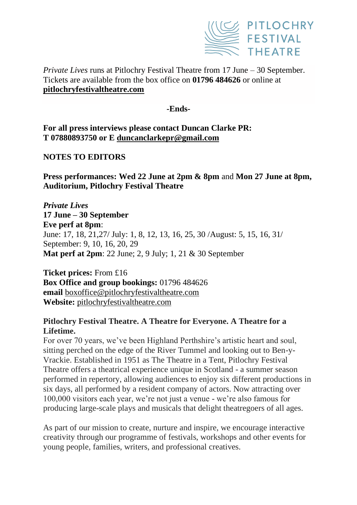

# *Private Lives* runs at Pitlochry Festival Theatre from 17 June – 30 September. Tickets are available from the box office on **01796 484626** or online at **[pitlochryfestivaltheatre.com](about:blank)**

#### **-Ends-**

**For all press interviews please contact Duncan Clarke PR: T 07880893750 or E [duncanclarkepr@gmail.com](about:blank)**

## **NOTES TO EDITORS**

**Press performances: Wed 22 June at 2pm & 8pm** and **Mon 27 June at 8pm, Auditorium, Pitlochry Festival Theatre**

*Private Lives*  **17 June – 30 September Eve perf at 8pm**: June: 17, 18, 21,27/ July: 1, 8, 12, 13, 16, 25, 30 /August: 5, 15, 16, 31/ September: 9, 10, 16, 20, 29 **Mat perf at 2pm**: 22 June; 2, 9 July; 1, 21 & 30 September

**Ticket prices:** From £16 **Box Office and group bookings:** 01796 484626 **email** [boxoffice@pitlochryfestivaltheatre.com](about:blank) **Website:** [pitlochryfestivaltheatre.com](about:blank)

## **Pitlochry Festival Theatre. A Theatre for Everyone. A Theatre for a Lifetime.**

For over 70 years, we've been Highland Perthshire's artistic heart and soul, sitting perched on the edge of the River Tummel and looking out to Ben-y-Vrackie. Established in 1951 as The Theatre in a Tent, Pitlochry Festival Theatre offers a theatrical experience unique in Scotland - a summer season performed in repertory, allowing audiences to enjoy six different productions in six days, all performed by a resident company of actors. Now attracting over 100,000 visitors each year, we're not just a venue - we're also famous for producing large-scale plays and musicals that delight theatregoers of all ages.

As part of our mission to create, nurture and inspire, we encourage interactive creativity through our programme of festivals, workshops and other events for young people, families, writers, and professional creatives.